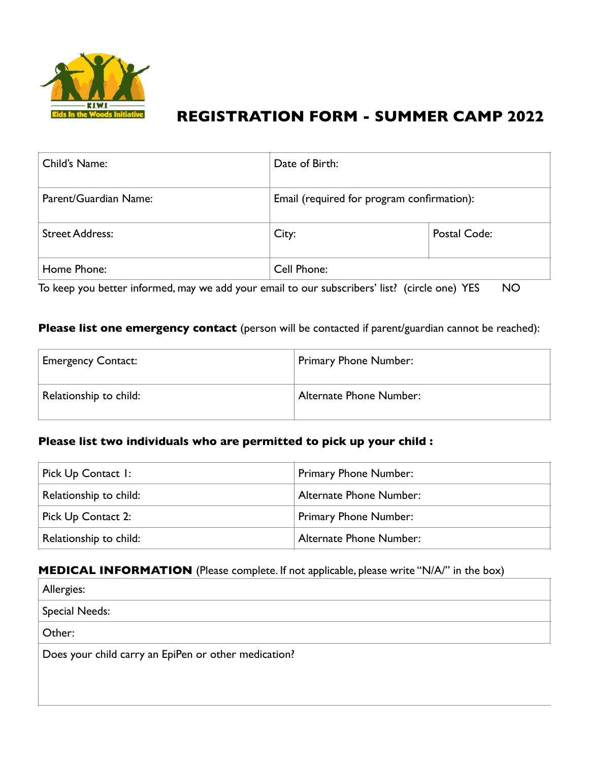

# **REGISTRATION FORM - SUMMER CAMP 2022**

| Child's Name:          | Date of Birth:                             |              |  |
|------------------------|--------------------------------------------|--------------|--|
| Parent/Guardian Name:  | Email (required for program confirmation): |              |  |
| <b>Street Address:</b> | City:                                      | Postal Code: |  |
| Home Phone:            | Cell Phone:                                |              |  |

To keep you better informed, may we add your email to our subscribers' list? (circle one) YES NO

### **Please list one emergency contact** (person will be contacted if parent/guardian cannot be reached):

| <b>Emergency Contact:</b> | Primary Phone Number:   |
|---------------------------|-------------------------|
| Relationship to child:    | Alternate Phone Number: |

### **Please list two individuals who are permitted to pick up your child :**

| Pick Up Contact I:     | Primary Phone Number:        |
|------------------------|------------------------------|
| Relationship to child: | Alternate Phone Number:      |
| Pick Up Contact 2:     | <b>Primary Phone Number:</b> |
| Relationship to child: | Alternate Phone Number:      |

### **MEDICAL INFORMATION** (Please complete. If not applicable, please write "N/A/" in the box)

| Allergies:                                           |  |
|------------------------------------------------------|--|
| Special Needs:                                       |  |
| Other:                                               |  |
| Does your child carry an EpiPen or other medication? |  |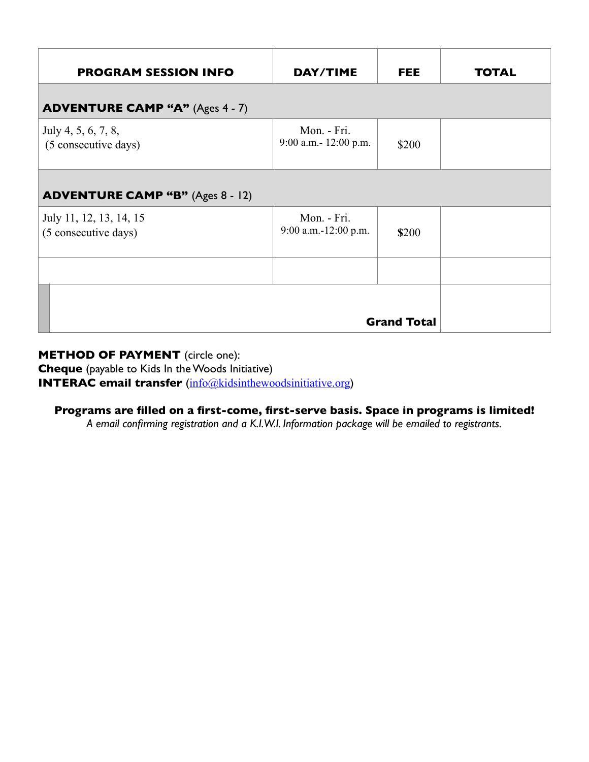| <b>PROGRAM SESSION INFO</b>                     | DAY/TIME                             | <b>FEE</b> | <b>TOTAL</b> |  |  |  |
|-------------------------------------------------|--------------------------------------|------------|--------------|--|--|--|
| <b>ADVENTURE CAMP "A"</b> (Ages 4 - 7)          |                                      |            |              |  |  |  |
| July 4, 5, 6, 7, 8,<br>(5 consecutive days)     | Mon. - Fri.<br>9:00 a.m.- 12:00 p.m. | \$200      |              |  |  |  |
| <b>ADVENTURE CAMP "B"</b> (Ages 8 - 12)         |                                      |            |              |  |  |  |
| July 11, 12, 13, 14, 15<br>(5 consecutive days) | Mon. - Fri.<br>9:00 a.m.-12:00 p.m.  | \$200      |              |  |  |  |
|                                                 |                                      |            |              |  |  |  |
| <b>Grand Total</b>                              |                                      |            |              |  |  |  |

## **METHOD OF PAYMENT** (circle one):

**Cheque** (payable to Kids In the Woods Initiative) **INTERAC email transfer** ([info@kidsinthewoodsinitiative.org](mailto:info@kidsinthewoodsinitiative.org))

### **Programs are filled on a first-come, first-serve basis. Space in programs is limited!**

*A email confirming registration and a K.I.W.I. Information package will be emailed to registrants.*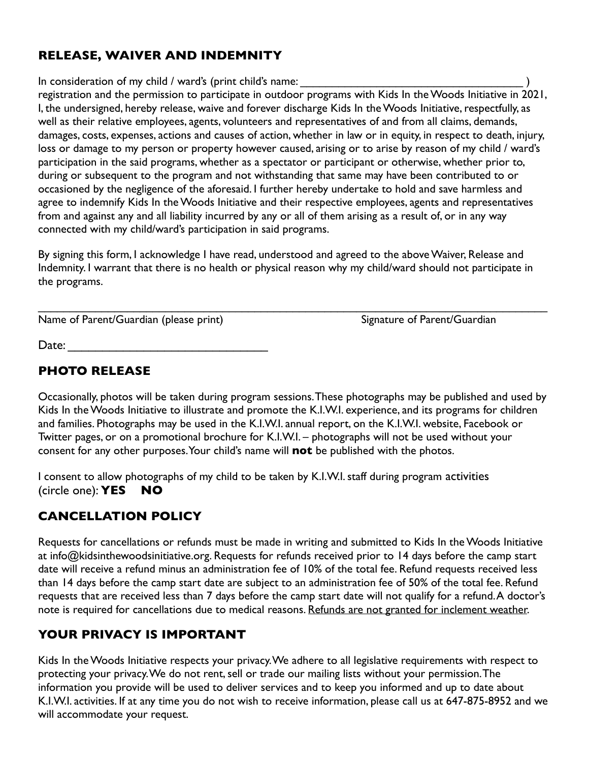# **RELEASE, WAIVER AND INDEMNITY**

In consideration of my child / ward's (print child's name:

registration and the permission to participate in outdoor programs with Kids In the Woods Initiative in 2021, I, the undersigned, hereby release, waive and forever discharge Kids In the Woods Initiative, respectfully, as well as their relative employees, agents, volunteers and representatives of and from all claims, demands, damages, costs, expenses, actions and causes of action, whether in law or in equity, in respect to death, injury, loss or damage to my person or property however caused, arising or to arise by reason of my child / ward's participation in the said programs, whether as a spectator or participant or otherwise, whether prior to, during or subsequent to the program and not withstanding that same may have been contributed to or occasioned by the negligence of the aforesaid. I further hereby undertake to hold and save harmless and agree to indemnify Kids In the Woods Initiative and their respective employees, agents and representatives from and against any and all liability incurred by any or all of them arising as a result of, or in any way connected with my child/ward's participation in said programs.

By signing this form, I acknowledge I have read, understood and agreed to the above Waiver, Release and Indemnity. I warrant that there is no health or physical reason why my child/ward should not participate in the programs.

\_\_\_\_\_\_\_\_\_\_\_\_\_\_\_\_\_\_\_\_\_\_\_\_\_\_\_\_\_\_\_\_\_\_\_\_\_\_\_\_\_\_\_\_\_\_\_\_\_\_\_\_\_\_\_\_\_\_\_\_\_\_\_\_\_\_\_\_\_\_\_\_\_\_\_\_\_\_\_\_

Name of Parent/Guardian (please print) Signature of Parent/Guardian

 $Date:$ 

## **PHOTO RELEASE**

Occasionally, photos will be taken during program sessions. These photographs may be published and used by Kids In the Woods Initiative to illustrate and promote the K.I.W.I. experience, and its programs for children and families. Photographs may be used in the K.I.W.I. annual report, on the K.I.W.I. website, Facebook or Twitter pages, or on a promotional brochure for K.I.W.I. – photographs will not be used without your consent for any other purposes. Your child's name will **not** be published with the photos.

I consent to allow photographs of my child to be taken by K.I.W.I. staff during program activities (circle one): **YES NO**

# **CANCELLATION POLICY**

Requests for cancellations or refunds must be made in writing and submitted to Kids In the Woods Initiative at info@kidsinthewoodsinitiative.org. Requests for refunds received prior to 14 days before the camp start date will receive a refund minus an administration fee of 10% of the total fee. Refund requests received less than 14 days before the camp start date are subject to an administration fee of 50% of the total fee. Refund requests that are received less than 7 days before the camp start date will not qualify for a refund. A doctor's note is required for cancellations due to medical reasons. Refunds are not granted for inclement weather.

# **YOUR PRIVACY IS IMPORTANT**

Kids In the Woods Initiative respects your privacy. We adhere to all legislative requirements with respect to protecting your privacy. We do not rent, sell or trade our mailing lists without your permission. The information you provide will be used to deliver services and to keep you informed and up to date about K.I.W.I. activities. If at any time you do not wish to receive information, please call us at 647-875-8952 and we will accommodate your request.